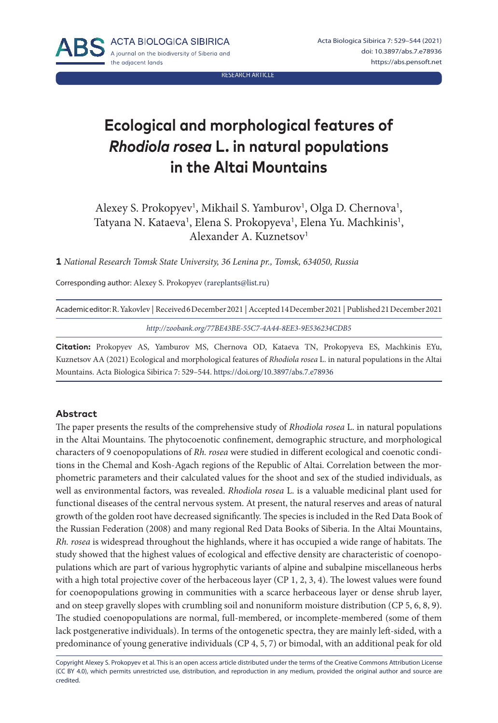RESEARCH ARTICLE

# **Ecological and morphological features of**  *Rhodiola rosea* **L. in natural populations in the Altai Mountains**

Alexey S. Prokopyev<sup>1</sup>, Mikhail S. Yamburov<sup>1</sup>, Olga D. Chernova<sup>1</sup>, Tatyana N. Kataeva<sup>1</sup>, Elena S. Prokopyeva<sup>1</sup>, Elena Yu. Machkinis<sup>1</sup>, Alexander A. Kuznetsov<sup>1</sup>

**1** *National Research Tomsk State University, 36 Lenina pr., Tomsk, 634050, Russia*

Corresponding author: Alexey S. Prokopyev ([rareplants@list.ru](mailto:rareplants%40list.ru?subject=))

| Academic editor: R. Yakovlev   Received 6 December 2021   Accepted 14 December 2021   Published 21 December 2021 |
|------------------------------------------------------------------------------------------------------------------|
| http://zoobank.org/77BE43BE-55C7-4A44-8EE3-9E536234CDB5                                                          |

**Citation:** Prokopyev AS, Yamburov MS, Chernova OD, Kataeva TN, Prokopyeva ES, Machkinis EYu, Kuznetsov AA (2021) Ecological and morphological features of *Rhodiola rosea* L. in natural populations in the Altai Mountains. Acta Biologica Sibirica 7: 529–544. <https://doi.org/10.3897/abs.7.e78936>

#### **Abstract**

The paper presents the results of the comprehensive study of *Rhodiola rosea* L. in natural populations in the Altai Mountains. The phytocoenotic confinement, demographic structure, and morphological characters of 9 coenopopulations of *Rh. rosea* were studied in different ecological and coenotic conditions in the Chemal and Kosh-Agach regions of the Republic of Altai. Correlation between the morphometric parameters and their calculated values for the shoot and sex of the studied individuals, as well as environmental factors, was revealed. *Rhodiola rosea* L. is a valuable medicinal plant used for functional diseases of the central nervous system. At present, the natural reserves and areas of natural growth of the golden root have decreased significantly. The species is included in the Red Data Book of the Russian Federation (2008) and many regional Red Data Books of Siberia. In the Altai Mountains, *Rh. rosea* is widespread throughout the highlands, where it has occupied a wide range of habitats. The study showed that the highest values of ecological and effective density are characteristic of coenopopulations which are part of various hygrophytic variants of alpine and subalpine miscellaneous herbs with a high total projective cover of the herbaceous layer (CP 1, 2, 3, 4). The lowest values were found for coenopopulations growing in communities with a scarce herbaceous layer or dense shrub layer, and on steep gravelly slopes with crumbling soil and nonuniform moisture distribution (CP 5, 6, 8, 9). The studied coenopopulations are normal, full-membered, or incomplete-membered (some of them lack postgenerative individuals). In terms of the ontogenetic spectra, they are mainly left-sided, with a predominance of young generative individuals (CP 4, 5, 7) or bimodal, with an additional peak for old

Copyright Alexey S. Prokopyev et al. This is an open access article distributed under the terms of the [Creative Commons Attribution License](http://creativecommons.org/licenses/by/4.0/)  [\(CC BY 4.0\),](http://creativecommons.org/licenses/by/4.0/) which permits unrestricted use, distribution, and reproduction in any medium, provided the original author and source are credited.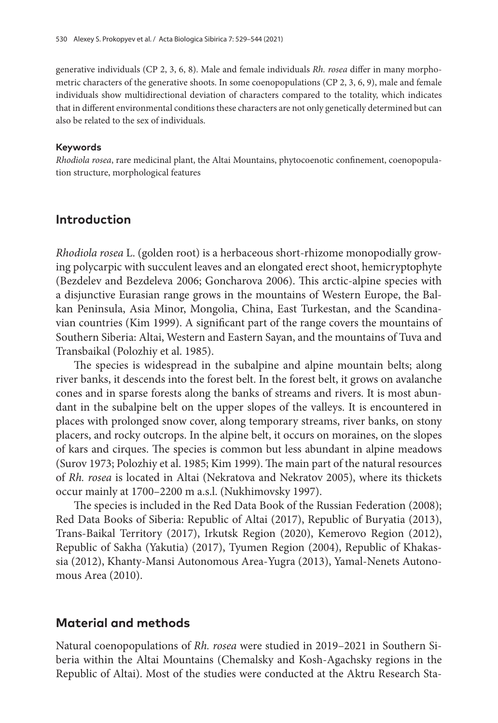generative individuals (CP 2, 3, 6, 8). Male and female individuals *Rh. rosea* differ in many morphometric characters of the generative shoots. In some coenopopulations (CP 2, 3, 6, 9), male and female individuals show multidirectional deviation of characters compared to the totality, which indicates that in different environmental conditions these characters are not only genetically determined but can also be related to the sex of individuals.

#### **Keywords**

*Rhodiola rosea*, rare medicinal plant, the Altai Mountains, phytocoenotic confinement, coenopopulation structure, morphological features

### **Introduction**

*Rhodiola rosea* L. (golden root) is a herbaceous short-rhizome monopodially growing polycarpic with succulent leaves and an elongated erect shoot, hemicryptophyte (Bezdelev and Bezdeleva 2006; Goncharova 2006). This arctic-alpine species with a disjunctive Eurasian range grows in the mountains of Western Europe, the Balkan Peninsula, Asia Minor, Mongolia, China, East Turkestan, and the Scandinavian countries (Kim 1999). A significant part of the range covers the mountains of Southern Siberia: Altai, Western and Eastern Sayan, and the mountains of Tuva and Transbaikal (Polozhiy et al. 1985).

The species is widespread in the subalpine and alpine mountain belts; along river banks, it descends into the forest belt. In the forest belt, it grows on avalanche cones and in sparse forests along the banks of streams and rivers. It is most abundant in the subalpine belt on the upper slopes of the valleys. It is encountered in places with prolonged snow cover, along temporary streams, river banks, on stony placers, and rocky outcrops. In the alpine belt, it occurs on moraines, on the slopes of kars and cirques. The species is common but less abundant in alpine meadows (Surov 1973; Polozhiy et al. 1985; Kim 1999). The main part of the natural resources of *Rh. rosea* is located in Altai (Nekratova and Nekratov 2005), where its thickets occur mainly at 1700–2200 m a.s.l. (Nukhimovsky 1997).

The species is included in the Red Data Book of the Russian Federation (2008); Red Data Books of Siberia: Republic of Altai (2017), Republic of Buryatia (2013), Trans-Baikal Territory (2017), Irkutsk Region (2020), Kemerovo Region (2012), Republic of Sakha (Yakutia) (2017), Tyumen Region (2004), Republic of Khakassia (2012), Khanty-Mansi Autonomous Area-Yugra (2013), Yamal-Nenets Autonomous Area (2010).

#### **Material and methods**

Natural coenopopulations of *Rh. rosea* were studied in 2019–2021 in Southern Siberia within the Altai Mountains (Chemalsky and Kosh-Agachsky regions in the Republic of Altai). Most of the studies were conducted at the Aktru Research Sta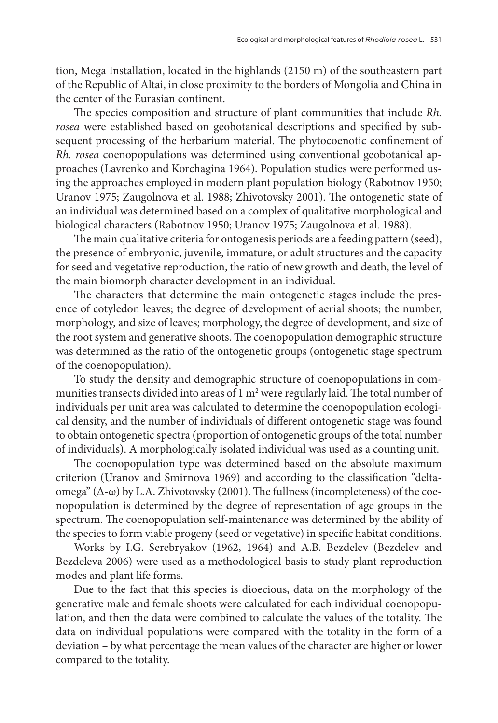tion, Mega Installation, located in the highlands (2150 m) of the southeastern part of the Republic of Altai, in close proximity to the borders of Mongolia and China in the center of the Eurasian continent.

The species composition and structure of plant communities that include *Rh. rosea* were established based on geobotanical descriptions and specified by subsequent processing of the herbarium material. The phytocoenotic confinement of *Rh. rosea* coenopopulations was determined using conventional geobotanical approaches (Lavrenko and Korchagina 1964). Population studies were performed using the approaches employed in modern plant population biology (Rabotnov 1950; Uranov 1975; Zaugolnova et al. 1988; Zhivotovsky 2001). The ontogenetic state of an individual was determined based on a complex of qualitative morphological and biological characters (Rabotnov 1950; Uranov 1975; Zaugolnova et al. 1988).

The main qualitative criteria for ontogenesis periods are a feeding pattern (seed), the presence of embryonic, juvenile, immature, or adult structures and the capacity for seed and vegetative reproduction, the ratio of new growth and death, the level of the main biomorph character development in an individual.

The characters that determine the main ontogenetic stages include the presence of cotyledon leaves; the degree of development of aerial shoots; the number, morphology, and size of leaves; morphology, the degree of development, and size of the root system and generative shoots. The coenopopulation demographic structure was determined as the ratio of the ontogenetic groups (ontogenetic stage spectrum of the coenopopulation).

To study the density and demographic structure of coenopopulations in communities transects divided into areas of  $1\,\mathrm{m}^2$  were regularly laid. The total number of individuals per unit area was calculated to determine the coenopopulation ecological density, and the number of individuals of different ontogenetic stage was found to obtain ontogenetic spectra (proportion of ontogenetic groups of the total number of individuals). A morphologically isolated individual was used as a counting unit.

The coenopopulation type was determined based on the absolute maximum criterion (Uranov and Smirnova 1969) and according to the classification "deltaomega" (Δ-ω) by L.A. Zhivotovsky (2001). The fullness (incompleteness) of the coenopopulation is determined by the degree of representation of age groups in the spectrum. The coenopopulation self-maintenance was determined by the ability of the species to form viable progeny (seed or vegetative) in specific habitat conditions.

Works by I.G. Serebryakov (1962, 1964) and A.B. Bezdelev (Bezdelev and Bezdeleva 2006) were used as a methodological basis to study plant reproduction modes and plant life forms.

Due to the fact that this species is dioecious, data on the morphology of the generative male and female shoots were calculated for each individual coenopopulation, and then the data were combined to calculate the values of the totality. The data on individual populations were compared with the totality in the form of a deviation – by what percentage the mean values of the character are higher or lower compared to the totality.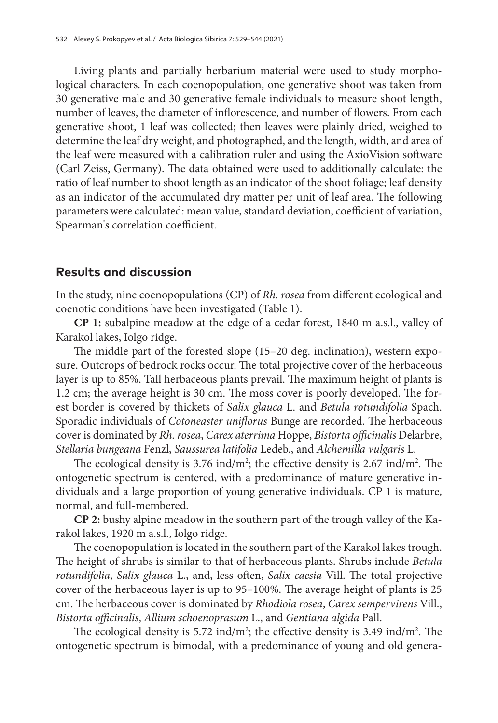Living plants and partially herbarium material were used to study morphological characters. In each coenopopulation, one generative shoot was taken from 30 generative male and 30 generative female individuals to measure shoot length, number of leaves, the diameter of inflorescence, and number of flowers. From each generative shoot, 1 leaf was collected; then leaves were plainly dried, weighed to determine the leaf dry weight, and photographed, and the length, width, and area of the leaf were measured with a calibration ruler and using the AxioVision software (Carl Zeiss, Germany). The data obtained were used to additionally calculate: the ratio of leaf number to shoot length as an indicator of the shoot foliage; leaf density as an indicator of the accumulated dry matter per unit of leaf area. The following parameters were calculated: mean value, standard deviation, coefficient of variation, Spearman's correlation coefficient.

## **Results and discussion**

In the study, nine coenopopulations (CP) of *Rh. rosea* from different ecological and coenotic conditions have been investigated (Table 1).

**CP 1:** subalpine meadow at the edge of a cedar forest, 1840 m a.s.l., valley of Karakol lakes, Iolgo ridge.

The middle part of the forested slope (15–20 deg. inclination), western exposure. Outcrops of bedrock rocks occur. The total projective cover of the herbaceous layer is up to 85%. Tall herbaceous plants prevail. The maximum height of plants is 1.2 cm; the average height is 30 cm. The moss cover is poorly developed. The forest border is covered by thickets of *Salix glauca* L. and *Betula rotundifolia* Spach. Sporadic individuals of *Cotoneaster uniflorus* Bunge are recorded. The herbaceous cover is dominated by *Rh. rosea*, *Carex aterrima* Hoppe, *Bistorta officinalis* Delarbre, *Stellaria bungeana* Fenzl, *Saussurea latifolia* Ledeb., and *Alchemilla vulgaris* L.

The ecological density is  $3.76$  ind/m<sup>2</sup>; the effective density is  $2.67$  ind/m<sup>2</sup>. The ontogenetic spectrum is centered, with a predominance of mature generative individuals and a large proportion of young generative individuals. CP 1 is mature, normal, and full-membered.

**CP 2:** bushy alpine meadow in the southern part of the trough valley of the Karakol lakes, 1920 m a.s.l., Iolgo ridge.

The coenopopulation is located in the southern part of the Karakol lakes trough. The height of shrubs is similar to that of herbaceous plants. Shrubs include *Betula rotundifolia*, *Salix glauca* L., and, less often, *Salix caesia* Vill. The total projective cover of the herbaceous layer is up to 95–100%. The average height of plants is 25 cm. The herbaceous cover is dominated by *Rhodiola rosea*, *Carex sempervirens* Vill., *Bistorta officinalis*, *Allium schoenoprasum* L., and *Gentiana algida* Pall.

The ecological density is 5.72 ind/m<sup>2</sup>; the effective density is 3.49 ind/m<sup>2</sup>. The ontogenetic spectrum is bimodal, with a predominance of young and old genera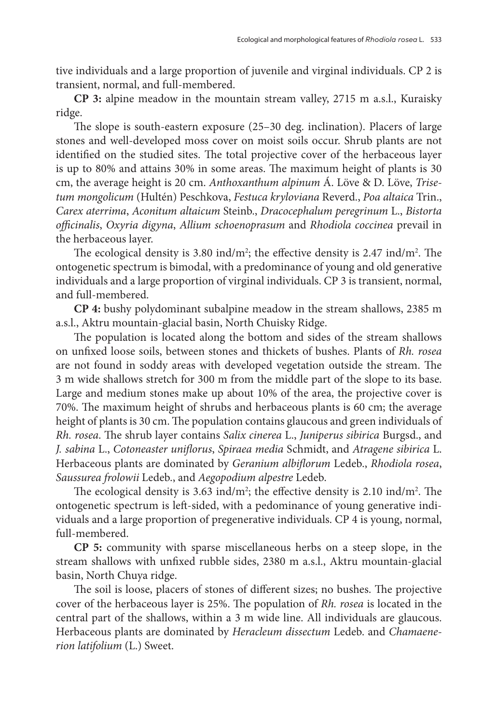tive individuals and a large proportion of juvenile and virginal individuals. CP 2 is transient, normal, and full-membered.

**CP 3:** alpine meadow in the mountain stream valley, 2715 m a.s.l., Kuraisky ridge.

The slope is south-eastern exposure (25–30 deg. inclination). Placers of large stones and well-developed moss cover on moist soils occur. Shrub plants are not identified on the studied sites. The total projective cover of the herbaceous layer is up to 80% and attains 30% in some areas. The maximum height of plants is 30 cm, the average height is 20 cm. *Anthoxanthum alpinum* Á. Löve & D. Löve, *Trisetum mongolicum* (Hultén) Peschkova, *Festuca kryloviana* Reverd., *Poa altaica* Trin., *Carex aterrima*, *Aconitum altaicum* Steinb., *Dracocephalum peregrinum* L., *Bistorta officinalis*, *Oxyria digyna*, *Allium schoenoprasum* and *Rhodiola coccinea* prevail in the herbaceous layer.

The ecological density is 3.80 ind/m<sup>2</sup>; the effective density is 2.47 ind/m<sup>2</sup>. The ontogenetic spectrum is bimodal, with a predominance of young and old generative individuals and a large proportion of virginal individuals. CP 3 is transient, normal, and full-membered.

**CP 4:** bushy polydominant subalpine meadow in the stream shallows, 2385 m a.s.l., Aktru mountain-glacial basin, North Chuisky Ridge.

The population is located along the bottom and sides of the stream shallows on unfixed loose soils, between stones and thickets of bushes. Plants of *Rh. rosea* are not found in soddy areas with developed vegetation outside the stream. The 3 m wide shallows stretch for 300 m from the middle part of the slope to its base. Large and medium stones make up about 10% of the area, the projective cover is 70%. The maximum height of shrubs and herbaceous plants is 60 cm; the average height of plants is 30 cm. The population contains glaucous and green individuals of *Rh. rosea*. The shrub layer contains *Salix cinerea* L., *Juniperus sibirica* Burgsd., and *J. sabina* L., *Cotoneaster uniflorus*, *Spiraea media* Schmidt, and *Atragene sibirica* L. Herbaceous plants are dominated by *Geranium albiflorum* Ledeb., *Rhodiola rosea*, *Saussurea frolowii* Ledeb., and *Aegopodium alpestre* Ledeb.

The ecological density is 3.63 ind/m<sup>2</sup>; the effective density is 2.10 ind/m<sup>2</sup>. The ontogenetic spectrum is left-sided, with a pedominance of young generative individuals and a large proportion of pregenerative individuals. CP 4 is young, normal, full-membered.

**CP 5:** community with sparse miscellaneous herbs on a steep slope, in the stream shallows with unfixed rubble sides, 2380 m a.s.l., Aktru mountain-glacial basin, North Chuya ridge.

The soil is loose, placers of stones of different sizes; no bushes. The projective cover of the herbaceous layer is 25%. The population of *Rh. rosea* is located in the central part of the shallows, within a 3 m wide line. All individuals are glaucous. Herbaceous plants are dominated by *Heracleum dissectum* Ledeb. and *Chamaenerion latifolium* (L.) Sweet.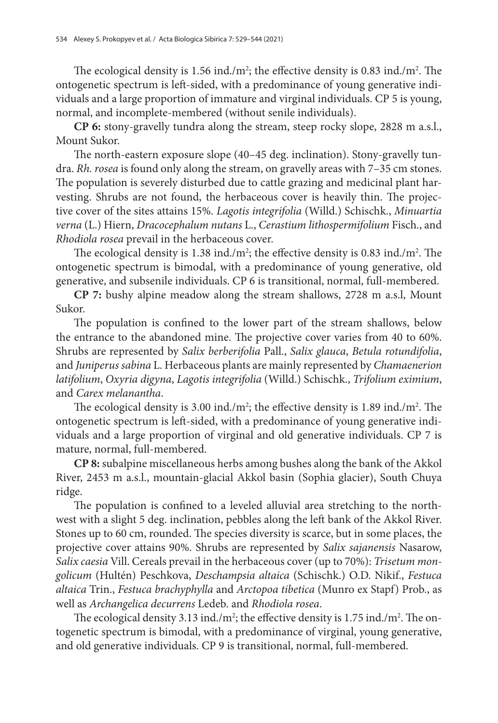The ecological density is 1.56 ind./m<sup>2</sup>; the effective density is 0.83 ind./m<sup>2</sup>. The ontogenetic spectrum is left-sided, with a predominance of young generative individuals and a large proportion of immature and virginal individuals. CP 5 is young, normal, and incomplete-membered (without senile individuals).

**CP 6:** stony-gravelly tundra along the stream, steep rocky slope, 2828 m a.s.l., Mount Sukor.

The north-eastern exposure slope (40–45 deg. inclination). Stony-gravelly tundra. *Rh. rosea* is found only along the stream, on gravelly areas with 7–35 cm stones. The population is severely disturbed due to cattle grazing and medicinal plant harvesting. Shrubs are not found, the herbaceous cover is heavily thin. The projective cover of the sites attains 15%. *Lagotis integrifolia* (Willd.) Schischk., *Minuartia verna* (L.) Hiern, *Dracocephalum nutans* L., *Cerastium lithospermifolium* Fisch., and *Rhodiola rosea* prevail in the herbaceous cover.

The ecological density is 1.38 ind./m<sup>2</sup>; the effective density is 0.83 ind./m<sup>2</sup>. The ontogenetic spectrum is bimodal, with a predominance of young generative, old generative, and subsenile individuals. CP 6 is transitional, normal, full-membered.

**CP 7:** bushy alpine meadow along the stream shallows, 2728 m a.s.l, Mount Sukor.

The population is confined to the lower part of the stream shallows, below the entrance to the abandoned mine. The projective cover varies from 40 to 60%. Shrubs are represented by *Salix berberifolia* Pall., *Salix glauca*, *Betula rotundifolia*, and *Juniperus sabina* L. Herbaceous plants are mainly represented by *Chamaenerion latifolium*, *Oxyria digyna*, *Lagotis integrifolia* (Willd.) Schischk., *Trifolium eximium*, and *Carex melanantha*.

The ecological density is 3.00 ind./ $m^2$ ; the effective density is 1.89 ind./ $m^2$ . The ontogenetic spectrum is left-sided, with a predominance of young generative individuals and a large proportion of virginal and old generative individuals. CP 7 is mature, normal, full-membered.

**CP 8:** subalpine miscellaneous herbs among bushes along the bank of the Akkol River, 2453 m a.s.l., mountain-glacial Akkol basin (Sophia glacier), South Chuya ridge.

The population is confined to a leveled alluvial area stretching to the northwest with a slight 5 deg. inclination, pebbles along the left bank of the Akkol River. Stones up to 60 cm, rounded. The species diversity is scarce, but in some places, the projective cover attains 90%. Shrubs are represented by *Salix sajanensis* Nasarow, *Salix caesia* Vill. Cereals prevail in the herbaceous cover (up to 70%): *Trisetum mongolicum* (Hultén) Peschkova, *Deschampsia altaica* (Schischk.) O.D. Nikif., *Festuca altaica* Trin., *Festuca brachyphylla* and *Arctopoa tibetica* (Munro ex Stapf) Prob., as well as *Archangelica decurrens* Ledeb. and *Rhodiola rosea*.

The ecological density 3.13 ind./m<sup>2</sup>; the effective density is 1.75 ind./m<sup>2</sup>. The ontogenetic spectrum is bimodal, with a predominance of virginal, young generative, and old generative individuals. CP 9 is transitional, normal, full-membered.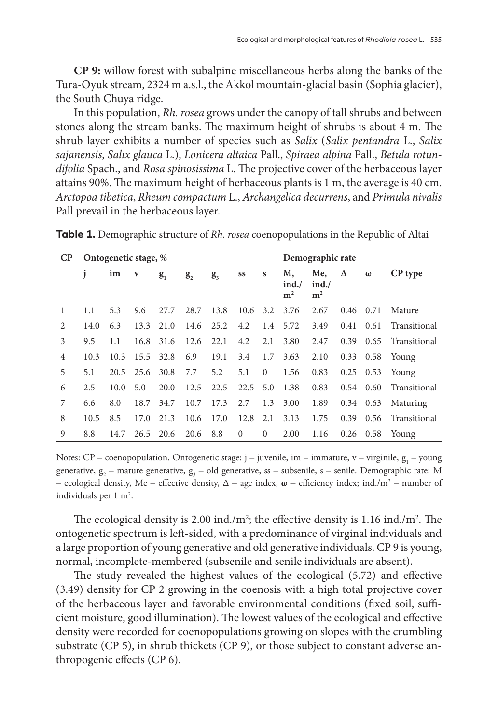**CP 9:** willow forest with subalpine miscellaneous herbs along the banks of the Tura-Oyuk stream, 2324 m a.s.l., the Akkol mountain-glacial basin (Sophia glacier), the South Chuya ridge.

In this population, *Rh. rosea* grows under the canopy of tall shrubs and between stones along the stream banks. The maximum height of shrubs is about 4 m. The shrub layer exhibits a number of species such as *Salix* (*Salix pentandra* L., *Salix sajanensis*, *Salix glauca* L.), *Lonicera altaica* Pall., *Spiraea alpina* Pall., *Betula rotundifolia* Spach., and *Rosa spinosissima* L. The projective cover of the herbaceous layer attains 90%. The maximum height of herbaceous plants is 1 m, the average is 40 cm. *Arctopoa tibetica*, *Rheum compactum* L., *Archangelica decurrens*, and *Primula nivalis* Pall prevail in the herbaceous layer.

| $\bf CP$       | Ontogenetic stage, % |      |           |           |         |                |              |              | Demographic rate             |                               |      |                   |              |
|----------------|----------------------|------|-----------|-----------|---------|----------------|--------------|--------------|------------------------------|-------------------------------|------|-------------------|--------------|
|                |                      | im   | V         | $g_{1}$   | $g_{2}$ | g <sub>3</sub> | SS           | s            | Μ,<br>ind.<br>m <sup>2</sup> | Me,<br>ind.<br>m <sup>2</sup> | Δ    | $\omega$          | CP type      |
| 1              | 1.1                  | 5.3  | 9.6       | 27.7      | 28.7    | 13.8           | 10.6         |              | 3.2 3.76                     | 2.67                          | 0.46 | 0.71              | Mature       |
| $\mathfrak{D}$ | 14.0                 | 6.3  | 13.3      | 21.0      | 14.6    | 25.2           | 4.2          |              | 1.4 5.72                     | 3.49                          | 0.41 | 0.61              | Transitional |
| 3              | 9.5                  | 1.1  |           | 16.8 31.6 | 12.6    | 22.1           | 4.2          | 2.1          | 3.80                         | 2.47                          | 0.39 | 0.65              | Transitional |
| 4              | 10.3                 | 10.3 | 15.5 32.8 |           | 6.9     | 19.1           | 3.4          | 1.7          | 3.63                         | 2.10                          |      | $0.33 \quad 0.58$ | Young        |
| 5              | 5.1                  | 20.5 |           | 25.6 30.8 | 7.7     | 5.2            | 5.1          | $\mathbf{0}$ | 1.56                         | 0.83                          |      | $0.25$ 0.53       | Young        |
| 6              | 2.5                  | 10.0 | 5.0       | 20.0      | 12.5    | 22.5           | $22.5$ 5.0   |              | 1.38                         | 0.83                          |      | $0.54$ 0.60       | Transitional |
|                | 6.6                  | 8.0  | 18.7      | 34.7      | 10.7    | 17.3           | 2.7          | 1.3          | 3.00                         | 1.89                          |      | $0.34$ 0.63       | Maturing     |
| 8              | 10.5                 | 8.5  | 17.0      | 21.3      | 10.6    | 17.0           | 12.8         | 2.1          | 3.13                         | 1.75                          | 0.39 | 0.56              | Transitional |
| 9              | 8.8                  | 14.7 | 26.5      | 20.6      | 20.6    | 8.8            | $\mathbf{0}$ | $\mathbf{0}$ | 2.00                         | 1.16                          | 0.26 | 0.58              | Young        |

**Table 1.** Demographic structure of *Rh. rosea* coenopopulations in the Republic of Altai

Notes: CP – coenopopulation. Ontogenetic stage:  $j$  – juvenile, im – immature,  $v$  – virginile,  $g_1$  – young generative,  $g_2$  – mature generative,  $g_3$  – old generative, ss – subsenile, s – senile. Demographic rate: M – ecological density, Me – effective density, ∆ – age index, **ω** – efficiency index; ind./m2 – number of individuals per 1 m<sup>2</sup>.

The ecological density is 2.00 ind./ $m^2$ ; the effective density is 1.16 ind./ $m^2$ . The ontogenetic spectrum is left-sided, with a predominance of virginal individuals and a large proportion of young generative and old generative individuals. CP 9 is young, normal, incomplete-membered (subsenile and senile individuals are absent).

The study revealed the highest values of the ecological (5.72) and effective (3.49) density for CP 2 growing in the coenosis with a high total projective cover of the herbaceous layer and favorable environmental conditions (fixed soil, sufficient moisture, good illumination). The lowest values of the ecological and effective density were recorded for coenopopulations growing on slopes with the crumbling substrate (CP 5), in shrub thickets (CP 9), or those subject to constant adverse anthropogenic effects (CP 6).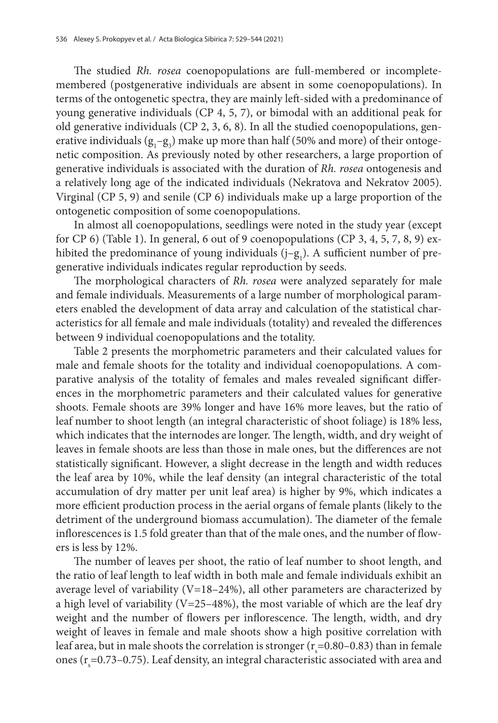The studied *Rh. rosea* coenopopulations are full-membered or incompletemembered (postgenerative individuals are absent in some coenopopulations). In terms of the ontogenetic spectra, they are mainly left-sided with a predominance of young generative individuals (CP 4, 5, 7), or bimodal with an additional peak for old generative individuals (CP 2, 3, 6, 8). In all the studied coenopopulations, generative individuals  $(g_1 - g_3)$  make up more than half (50% and more) of their ontogenetic composition. As previously noted by other researchers, a large proportion of generative individuals is associated with the duration of *Rh. rosea* ontogenesis and a relatively long age of the indicated individuals (Nekratova and Nekratov 2005). Virginal (CP 5, 9) and senile (CP 6) individuals make up a large proportion of the ontogenetic composition of some coenopopulations.

In almost all coenopopulations, seedlings were noted in the study year (except for CP 6) (Table 1). In general, 6 out of 9 coenopopulations (CP 3, 4, 5, 7, 8, 9) exhibited the predominance of young individuals  $(j-g_1)$ . A sufficient number of pregenerative individuals indicates regular reproduction by seeds.

The morphological characters of *Rh. rosea* were analyzed separately for male and female individuals. Measurements of a large number of morphological parameters enabled the development of data array and calculation of the statistical characteristics for all female and male individuals (totality) and revealed the differences between 9 individual coenopopulations and the totality.

Table 2 presents the morphometric parameters and their calculated values for male and female shoots for the totality and individual coenopopulations. A comparative analysis of the totality of females and males revealed significant differences in the morphometric parameters and their calculated values for generative shoots. Female shoots are 39% longer and have 16% more leaves, but the ratio of leaf number to shoot length (an integral characteristic of shoot foliage) is 18% less, which indicates that the internodes are longer. The length, width, and dry weight of leaves in female shoots are less than those in male ones, but the differences are not statistically significant. However, a slight decrease in the length and width reduces the leaf area by 10%, while the leaf density (an integral characteristic of the total accumulation of dry matter per unit leaf area) is higher by 9%, which indicates a more efficient production process in the aerial organs of female plants (likely to the detriment of the underground biomass accumulation). The diameter of the female inflorescences is 1.5 fold greater than that of the male ones, and the number of flowers is less by 12%.

The number of leaves per shoot, the ratio of leaf number to shoot length, and the ratio of leaf length to leaf width in both male and female individuals exhibit an average level of variability (V=18–24%), all other parameters are characterized by a high level of variability ( $V=25-48%$ ), the most variable of which are the leaf dry weight and the number of flowers per inflorescence. The length, width, and dry weight of leaves in female and male shoots show a high positive correlation with leaf area, but in male shoots the correlation is stronger ( $r_{\rm s}$ =0.80–0.83) than in female ones ( $r_s$ =0.73–0.75). Leaf density, an integral characteristic associated with area and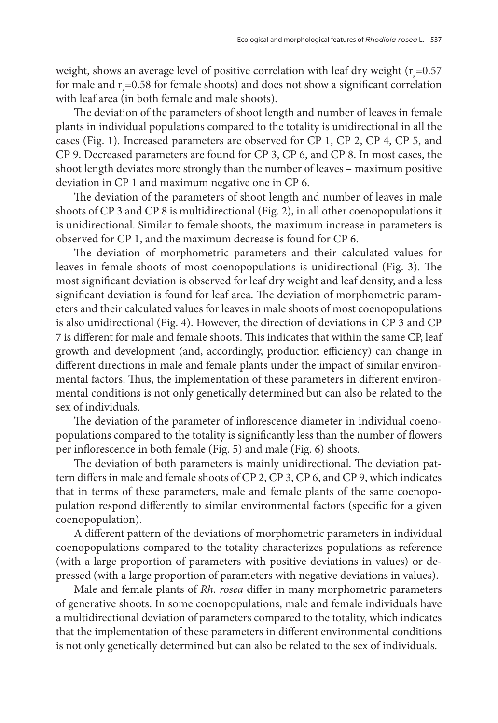weight, shows an average level of positive correlation with leaf dry weight ( $r_{\rm s}$ =0.57 for male and  $r_s = 0.58$  for female shoots) and does not show a significant correlation with leaf area (in both female and male shoots).

The deviation of the parameters of shoot length and number of leaves in female plants in individual populations compared to the totality is unidirectional in all the cases (Fig. 1). Increased parameters are observed for CP 1, CP 2, CP 4, CP 5, and CP 9. Decreased parameters are found for CP 3, CP 6, and CP 8. In most cases, the shoot length deviates more strongly than the number of leaves – maximum positive deviation in CP 1 and maximum negative one in CP 6.

The deviation of the parameters of shoot length and number of leaves in male shoots of CP 3 and CP 8 is multidirectional (Fig. 2), in all other coenopopulations it is unidirectional. Similar to female shoots, the maximum increase in parameters is observed for CP 1, and the maximum decrease is found for CP 6.

The deviation of morphometric parameters and their calculated values for leaves in female shoots of most coenopopulations is unidirectional (Fig. 3). The most significant deviation is observed for leaf dry weight and leaf density, and a less significant deviation is found for leaf area. The deviation of morphometric parameters and their calculated values for leaves in male shoots of most coenopopulations is also unidirectional (Fig. 4). However, the direction of deviations in CP 3 and CP 7 is different for male and female shoots. This indicates that within the same CP, leaf growth and development (and, accordingly, production efficiency) can change in different directions in male and female plants under the impact of similar environmental factors. Thus, the implementation of these parameters in different environmental conditions is not only genetically determined but can also be related to the sex of individuals.

The deviation of the parameter of inflorescence diameter in individual coenopopulations compared to the totality is significantly less than the number of flowers per inflorescence in both female (Fig. 5) and male (Fig. 6) shoots.

The deviation of both parameters is mainly unidirectional. The deviation pattern differs in male and female shoots of CP 2, CP 3, CP 6, and CP 9, which indicates that in terms of these parameters, male and female plants of the same coenopopulation respond differently to similar environmental factors (specific for a given coenopopulation).

A different pattern of the deviations of morphometric parameters in individual coenopopulations compared to the totality characterizes populations as reference (with a large proportion of parameters with positive deviations in values) or depressed (with a large proportion of parameters with negative deviations in values).

Male and female plants of *Rh. rosea* differ in many morphometric parameters of generative shoots. In some coenopopulations, male and female individuals have a multidirectional deviation of parameters compared to the totality, which indicates that the implementation of these parameters in different environmental conditions is not only genetically determined but can also be related to the sex of individuals.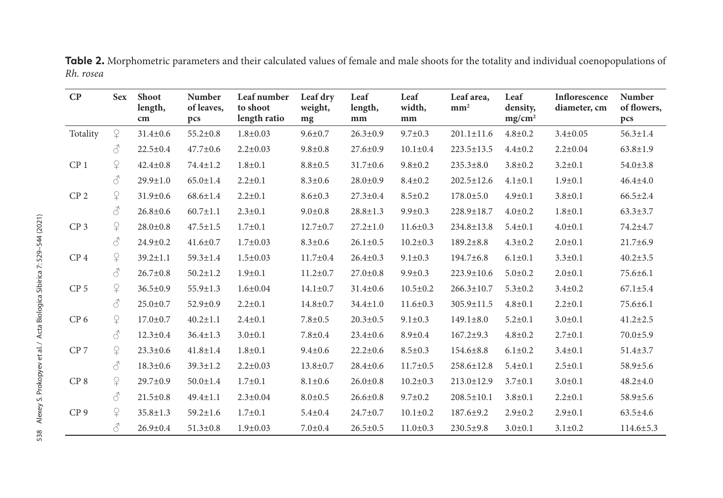| $\bf CP$        | <b>Sex</b>                                                                                                                                  | <b>Shoot</b><br>length,<br>cm | <b>Number</b><br>of leaves,<br>pcs | Leaf number<br>to shoot<br>length ratio | Leaf dry<br>weight,<br>mg | Leaf<br>length,<br>mm | Leaf<br>width,<br>mm | Leaf area,<br>mm <sup>2</sup> | Leaf<br>density,<br>mg/cm <sup>2</sup> | Inflorescence<br>diameter, cm | <b>Number</b><br>of flowers,<br>pcs |
|-----------------|---------------------------------------------------------------------------------------------------------------------------------------------|-------------------------------|------------------------------------|-----------------------------------------|---------------------------|-----------------------|----------------------|-------------------------------|----------------------------------------|-------------------------------|-------------------------------------|
| Totality        | $\Omega$                                                                                                                                    | $31.4 \pm 0.6$                | $55.2 \pm 0.8$                     | $1.8 + 0.03$                            | $9.6 \pm 0.7$             | $26.3 \pm 0.9$        | $9.7 \pm 0.3$        | $201.1 \pm 11.6$              | $4.8 + 0.2$                            | $3.4 \pm 0.05$                | $56.3 \pm 1.4$                      |
|                 | 8                                                                                                                                           | $22.5 \pm 0.4$                | $47.7 \pm 0.6$                     | $2.2 \pm 0.03$                          | $9.8 \pm 0.8$             | $27.6 \pm 0.9$        | $10.1 \pm 0.4$       | $223.5 \pm 13.5$              | $4.4 \pm 0.2$                          | $2.2 \pm 0.04$                | $63.8 \pm 1.9$                      |
| CP <sub>1</sub> | $\Omega$                                                                                                                                    | $42.4 \pm 0.8$                | $74.4 \pm 1.2$                     | $1.8 + 0.1$                             | $8.8 + 0.5$               | $31.7 \pm 0.6$        | $9.8 \pm 0.2$        | $235.3 \pm 8.0$               | $3.8 \pm 0.2$                          | $3.2 \pm 0.1$                 | $54.0 \pm 3.8$                      |
|                 | 8                                                                                                                                           | $29.9 \pm 1.0$                | $65.0 \pm 1.4$                     | $2.2 \pm 0.1$                           | $8.3 \pm 0.6$             | $28.0 \pm 0.9$        | $8.4 \pm 0.2$        | $202.5 \pm 12.6$              | $4.1 \pm 0.1$                          | $1.9 \pm 0.1$                 | $46.4 \pm 4.0$                      |
| CP <sub>2</sub> | $\mathsf{P}$                                                                                                                                | $31.9 \pm 0.6$                | $68.6 \pm 1.4$                     | $2.2 \pm 0.1$                           | $8.6 \pm 0.3$             | $27.3 \pm 0.4$        | $8.5 \pm 0.2$        | $178.0 \pm 5.0$               | $4.9 \pm 0.1$                          | $3.8 \pm 0.1$                 | $66.5 \pm 2.4$                      |
|                 | ♂                                                                                                                                           | $26.8 \pm 0.6$                | $60.7 \pm 1.1$                     | $2.3 \pm 0.1$                           | $9.0 \pm 0.8$             | $28.8 \pm 1.3$        | $9.9 \pm 0.3$        | 228.9±18.7                    | $4.0 \pm 0.2$                          | $1.8 + 0.1$                   | $63.3 \pm 3.7$                      |
| CP <sub>3</sub> | $\Omega$                                                                                                                                    | $28.0 \pm 0.8$                | $47.5 \pm 1.5$                     | $1.7 \pm 0.1$                           | $12.7 \pm 0.7$            | $27.2 \pm 1.0$        | $11.6 \pm 0.3$       | 234.8±13.8                    | $5.4 \pm 0.1$                          | $4.0 \pm 0.1$                 | 74.2±4.7                            |
|                 | $\mathcal{S}% _{M_{1},M_{2}}^{\ast }=\mathcal{S}_{M_{1},M_{2}}^{\ast }=\mathcal{S}_{M_{1},M_{2}}^{\ast }$                                   | $24.9 \pm 0.2$                | $41.6 \pm 0.7$                     | $1.7 \pm 0.03$                          | $8.3 \pm 0.6$             | $26.1 \pm 0.5$        | $10.2 \pm 0.3$       | $189.2 \pm 8.8$               | $4.3 \pm 0.2$                          | $2.0 \pm 0.1$                 | $21.7 \pm 6.9$                      |
| CP <sub>4</sub> | $\mathsf{P}$                                                                                                                                | $39.2 \pm 1.1$                | $59.3 \pm 1.4$                     | $1.5 \pm 0.03$                          | $11.7 \pm 0.4$            | $26.4 \pm 0.3$        | $9.1 \pm 0.3$        | $194.7 \pm 6.8$               | $6.1 \pm 0.1$                          | $3.3 \pm 0.1$                 | $40.2 \pm 3.5$                      |
|                 | $\mathcal{S}% _{M_{1},M_{2}}^{\ast }(\mathbf{M}_{1},\mathbf{M}_{2})$                                                                        | $26.7 \pm 0.8$                | $50.2 \pm 1.2$                     | $1.9 \pm 0.1$                           | $11.2 \pm 0.7$            | $27.0 \pm 0.8$        | $9.9 \pm 0.3$        | 223.9±10.6                    | $5.0 \pm 0.2$                          | $2.0 \pm 0.1$                 | $75.6 \pm 6.1$                      |
| CP <sub>5</sub> | $\Omega$                                                                                                                                    | $36.5 \pm 0.9$                | $55.9 \pm 1.3$                     | $1.6 \pm 0.04$                          | $14.1 \pm 0.7$            | $31.4 \pm 0.6$        | $10.5 \pm 0.2$       | $266.3 \pm 10.7$              | $5.3 \pm 0.2$                          | $3.4 \pm 0.2$                 | $67.1 \pm 5.4$                      |
|                 | $\mathcal{S}% _{CS}^{(n)}(\theta)=\mathcal{S}_{CS}^{(n)}(\theta)$                                                                           | $25.0 \pm 0.7$                | $52.9 \pm 0.9$                     | $2.2 \pm 0.1$                           | $14.8 \pm 0.7$            | $34.4 \pm 1.0$        | $11.6 \pm 0.3$       | $305.9 \pm 11.5$              | $4.8 + 0.1$                            | $2.2 \pm 0.1$                 | $75.6 \pm 6.1$                      |
| CP <sub>6</sub> | $\mathsf{P}_+$                                                                                                                              | $17.0 \pm 0.7$                | $40.2 \pm 1.1$                     | $2.4 \pm 0.1$                           | $7.8 \pm 0.5$             | $20.3 \pm 0.5$        | $9.1 \pm 0.3$        | $149.1 \pm 8.0$               | $5.2 \pm 0.1$                          | $3.0 \pm 0.1$                 | $41.2 \pm 2.5$                      |
|                 | $\mathcal{S}% _{M_{1},M_{2}}^{\ast }=\mathcal{S}_{M_{1},M_{2}}^{\ast }=\mathcal{S}_{M_{1},M_{2}}^{\ast }=\mathcal{S}_{M_{1},M_{2}}^{\ast }$ | $12.3 \pm 0.4$                | $36.4 \pm 1.3$                     | $3.0 \pm 0.1$                           | $7.8 \pm 0.4$             | $23.4 \pm 0.6$        | $8.9 \pm 0.4$        | $167.2 \pm 9.3$               | $4.8 \pm 0.2$                          | $2.7 \pm 0.1$                 | $70.0 \pm 5.9$                      |
| CP <sub>7</sub> | $\mathsf{P}$                                                                                                                                | $23.3 \pm 0.6$                | $41.8 \pm 1.4$                     | $1.8 + 0.1$                             | $9.4 \pm 0.6$             | $22.2 \pm 0.6$        | $8.5 \pm 0.3$        | $154.6 \pm 8.8$               | $6.1 \pm 0.2$                          | $3.4 \pm 0.1$                 | $51.4 \pm 3.7$                      |
|                 | $\mathcal{S}% _{M_{1},M_{2}}^{\ast }(\mathbf{0})$                                                                                           | $18.3 \pm 0.6$                | $39.3 \pm 1.2$                     | $2.2 \pm 0.03$                          | $13.8 \pm 0.7$            | $28.4 \pm 0.6$        | $11.7 \pm 0.5$       | 258.6±12.8                    | $5.4 \pm 0.1$                          | $2.5 \pm 0.1$                 | $58.9 \pm 5.6$                      |
| CP <sub>8</sub> | $\Omega$                                                                                                                                    | $29.7 \pm 0.9$                | $50.0 \pm 1.4$                     | $1.7 + 0.1$                             | $8.1 \pm 0.6$             | $26.0 \pm 0.8$        | $10.2 \pm 0.3$       | $213.0 \pm 12.9$              | $3.7 \pm 0.1$                          | $3.0 \pm 0.1$                 | $48.2 \pm 4.0$                      |
|                 | ♂                                                                                                                                           | $21.5 \pm 0.8$                | $49.4 \pm 1.1$                     | $2.3 \pm 0.04$                          | $8.0 + 0.5$               | $26.6 \pm 0.8$        | $9.7 \pm 0.2$        | $208.5 \pm 10.1$              | $3.8 + 0.1$                            | $2.2 \pm 0.1$                 | $58.9 \pm 5.6$                      |
| CP <sub>9</sub> | $\mathsf{P}$                                                                                                                                | $35.8 \pm 1.3$                | $59.2 \pm 1.6$                     | $1.7 \pm 0.1$                           | $5.4 \pm 0.4$             | $24.7 \pm 0.7$        | $10.1 \pm 0.2$       | 187.6±9.2                     | $2.9 \pm 0.2$                          | $2.9 \pm 0.1$                 | $63.5 \pm 4.6$                      |
|                 | 8                                                                                                                                           | $26.9 \pm 0.4$                | $51.3 \pm 0.8$                     | $1.9 \pm 0.03$                          | $7.0 \pm 0.4$             | $26.5 \pm 0.5$        | $11.0 \pm 0.3$       | $230.5 \pm 9.8$               | $3.0 \pm 0.1$                          | $3.1 \pm 0.2$                 | $114.6 \pm 5.3$                     |

**Table 2.** Morphometric parameters and their calculated values of female and male shoots for the totality and individual coenopopulations of *Rh. rosea*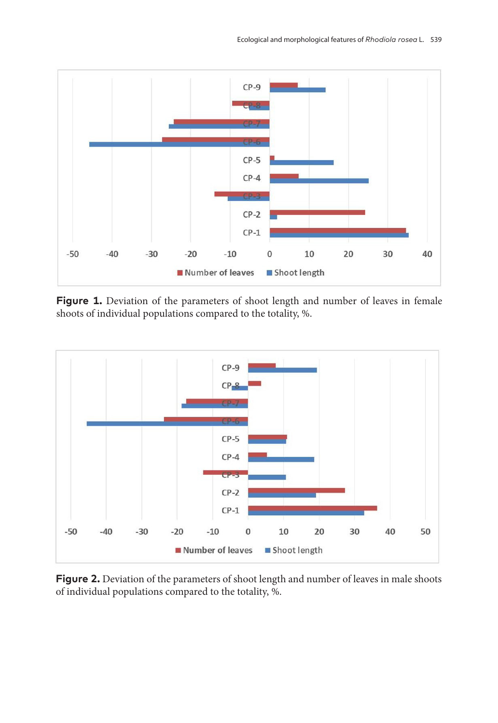

Figure 1. Deviation of the parameters of shoot length and number of leaves in female shoots of individual populations compared to the totality, %.



**Figure 2.** Deviation of the parameters of shoot length and number of leaves in male shoots of individual populations compared to the totality, %.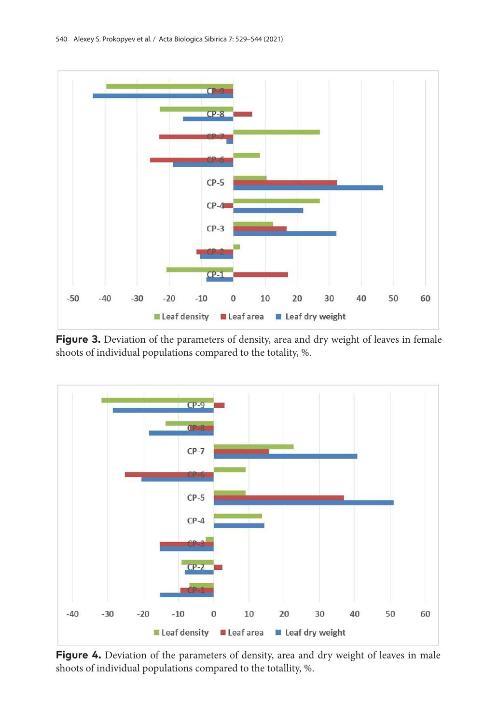

Figure 3. Deviation of the parameters of density, area and dry weight of leaves in female shoots of individual populations compared to the totality, %.



Figure 4. Deviation of the parameters of density, area and dry weight of leaves in male shoots of individual populations compared to the totallity, %.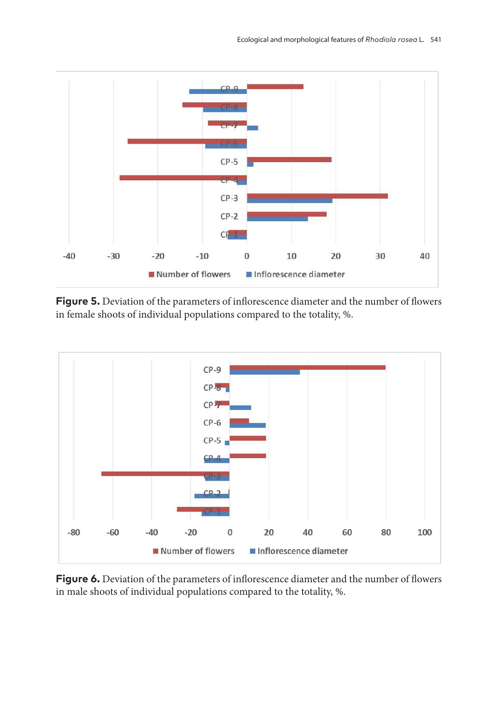

**Figure 5.** Deviation of the parameters of inflorescence diameter and the number of flowers in female shoots of individual populations compared to the totality, %.



**Figure 6.** Deviation of the parameters of inflorescence diameter and the number of flowers in male shoots of individual populations compared to the totality, %.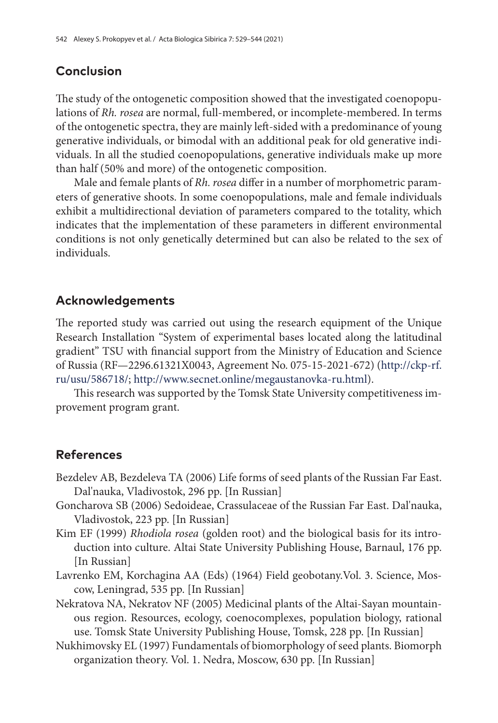# **Conclusion**

The study of the ontogenetic composition showed that the investigated coenopopulations of *Rh. rosea* are normal, full-membered, or incomplete-membered. In terms of the ontogenetic spectra, they are mainly left-sided with a predominance of young generative individuals, or bimodal with an additional peak for old generative individuals. In all the studied coenopopulations, generative individuals make up more than half (50% and more) of the ontogenetic composition.

Male and female plants of *Rh. rosea* differ in a number of morphometric parameters of generative shoots. In some coenopopulations, male and female individuals exhibit a multidirectional deviation of parameters compared to the totality, which indicates that the implementation of these parameters in different environmental conditions is not only genetically determined but can also be related to the sex of individuals.

# **Acknowledgements**

The reported study was carried out using the research equipment of the Unique Research Installation ''System of experimental bases located along the latitudinal gradient'' TSU with financial support from the Ministry of Education and Science of Russia (RF—2296.61321X0043, Agreement No. 075-15-2021-672) [\(http://ckp-rf.](http://ckp-rf.ru/usu/586718/) [ru/usu/586718/;](http://ckp-rf.ru/usu/586718/) <http://www.secnet.online/megaustanovka-ru.html>).

This research was supported by the Tomsk State University competitiveness improvement program grant.

## **References**

- Bezdelev AB, Bezdeleva TA (2006) Life forms of seed plants of the Russian Far East. Dal'nauka, Vladivostok, 296 pp. [In Russian]
- Goncharova SB (2006) Sedoideae, Crassulaceae of the Russian Far East. Dal'nauka, Vladivostok, 223 pp. [In Russian]
- Kim EF (1999) *Rhodiola rosea* (golden root) and the biological basis for its introduction into culture. Altai State University Publishing House, Barnaul, 176 pp. [In Russian]
- Lavrenko EM, Korchagina AA (Eds) (1964) Field geobotany.Vol. 3. Science, Moscow, Leningrad, 535 pp. [In Russian]
- Nekratova NA, Nekratov NF (2005) Medicinal plants of the Altai-Sayan mountainous region. Resources, ecology, coenocomplexes, population biology, rational use. Tomsk State University Publishing House, Tomsk, 228 pp. [In Russian]
- Nukhimovsky EL (1997) Fundamentals of biomorphology of seed plants. Biomorph organization theory. Vol. 1. Nedra, Moscow, 630 pp. [In Russian]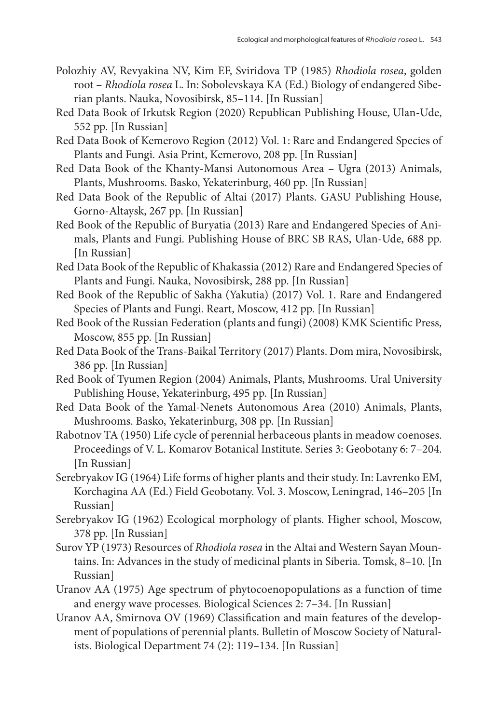- Polozhiy AV, Revyakina NV, Kim EF, Sviridova TP (1985) *Rhodiola rosea*, golden root – *Rhodiola rosea* L. In: Sobolevskaya KA (Ed.) Biology of endangered Siberian plants. Nauka, Novosibirsk, 85–114. [In Russian]
- Red Data Book of Irkutsk Region (2020) Republican Publishing House, Ulan-Ude, 552 pp. [In Russian]
- Red Data Book of Kemerovo Region (2012) Vol. 1: Rare and Endangered Species of Plants and Fungi. Asia Print, Kemerovo, 208 pp. [In Russian]
- Red Data Book of the Khanty-Mansi Autonomous Area Ugra (2013) Animals, Plants, Mushrooms. Basko, Yekaterinburg, 460 pp. [In Russian]
- Red Data Book of the Republic of Altai (2017) Plants. GASU Publishing House, Gorno-Altaysk, 267 pp. [In Russian]
- Red Book of the Republic of Buryatia (2013) Rare and Endangered Species of Animals, Plants and Fungi. Publishing House of BRC SB RAS, Ulan-Ude, 688 pp. [In Russian]
- Red Data Book of the Republic of Khakassia (2012) Rare and Endangered Species of Plants and Fungi. Nauka, Novosibirsk, 288 pp. [In Russian]
- Red Book of the Republic of Sakha (Yakutia) (2017) Vol. 1. Rare and Endangered Species of Plants and Fungi. Reart, Moscow, 412 pp. [In Russian]
- Red Book of the Russian Federation (plants and fungi) (2008) KMK Scientific Press, Moscow, 855 pp. [In Russian]
- Red Data Book of the Trans-Baikal Territory (2017) Plants. Dom mira, Novosibirsk, 386 pp. [In Russian]
- Red Book of Tyumen Region (2004) Animals, Plants, Mushrooms. Ural University Publishing House, Yekaterinburg, 495 pp. [In Russian]
- Red Data Book of the Yamal-Nenets Autonomous Area (2010) Animals, Plants, Mushrooms. Basko, Yekaterinburg, 308 pp. [In Russian]
- Rabotnov TA (1950) Life cycle of perennial herbaceous plants in meadow coenoses. Proceedings of V. L. Komarov Botanical Institute. Series 3: Geobotany 6: 7–204. [In Russian]
- Serebryakov IG (1964) Life forms of higher plants and their study. In: Lavrenko EM, Korchagina AA (Ed.) Field Geobotany. Vol. 3. Moscow, Leningrad, 146–205 [In Russian]
- Serebryakov IG (1962) Ecological morphology of plants. Higher school, Moscow, 378 pp. [In Russian]
- Surov YP (1973) Resources of *Rhodiola rosea* in the Altai and Western Sayan Mountains. In: Advances in the study of medicinal plants in Siberia. Tomsk, 8–10. [In Russian]
- Uranov AA (1975) Age spectrum of phytocoenopopulations as a function of time and energy wave processes. Biological Sciences 2: 7–34. [In Russian]
- Uranov AA, Smirnova OV (1969) Classification and main features of the development of populations of perennial plants. Bulletin of Moscow Society of Naturalists. Biological Department 74 (2): 119–134. [In Russian]